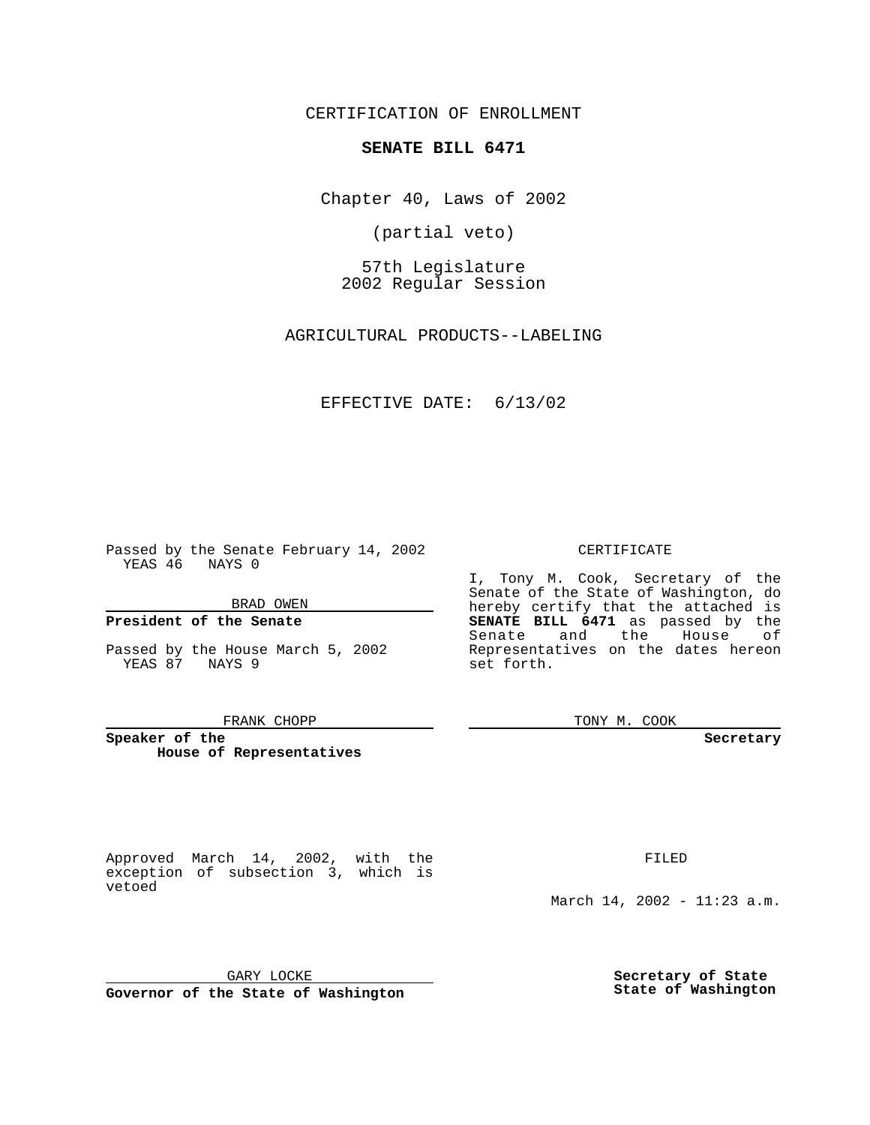CERTIFICATION OF ENROLLMENT

# **SENATE BILL 6471**

Chapter 40, Laws of 2002

(partial veto)

57th Legislature 2002 Regular Session

AGRICULTURAL PRODUCTS--LABELING

## EFFECTIVE DATE: 6/13/02

Passed by the Senate February 14, 2002 YEAS 46 NAYS 0

#### BRAD OWEN

### **President of the Senate**

Passed by the House March 5, 2002 YEAS 87 NAYS 9

#### FRANK CHOPP

**Speaker of the House of Representatives** CERTIFICATE

I, Tony M. Cook, Secretary of the Senate of the State of Washington, do hereby certify that the attached is **SENATE BILL 6471** as passed by the Senate and the House of Representatives on the dates hereon set forth.

TONY M. COOK

**Secretary**

Approved March 14, 2002, with the exception of subsection 3, which is vetoed

FILED

March 14, 2002 - 11:23 a.m.

GARY LOCKE

**Governor of the State of Washington**

**Secretary of State State of Washington**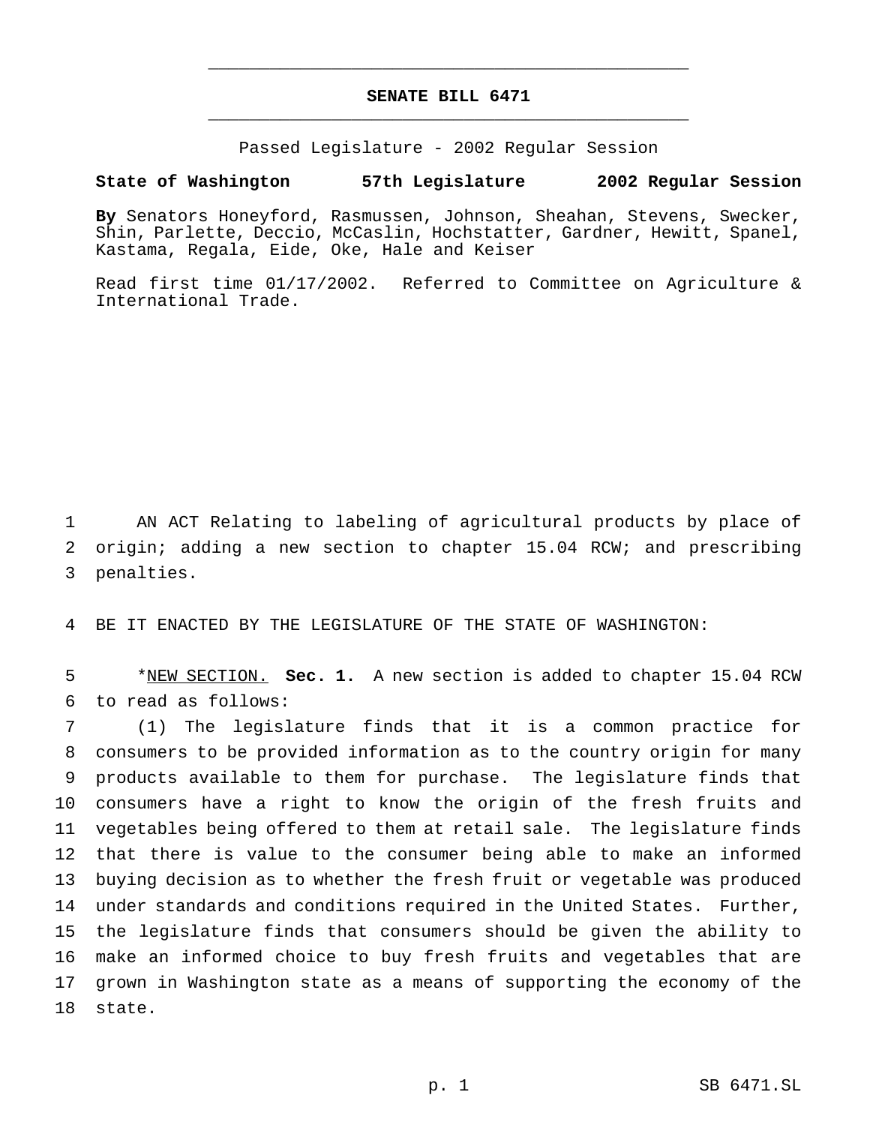# **SENATE BILL 6471** \_\_\_\_\_\_\_\_\_\_\_\_\_\_\_\_\_\_\_\_\_\_\_\_\_\_\_\_\_\_\_\_\_\_\_\_\_\_\_\_\_\_\_\_\_\_\_

\_\_\_\_\_\_\_\_\_\_\_\_\_\_\_\_\_\_\_\_\_\_\_\_\_\_\_\_\_\_\_\_\_\_\_\_\_\_\_\_\_\_\_\_\_\_\_

Passed Legislature - 2002 Regular Session

### **State of Washington 57th Legislature 2002 Regular Session**

**By** Senators Honeyford, Rasmussen, Johnson, Sheahan, Stevens, Swecker, Shin, Parlette, Deccio, McCaslin, Hochstatter, Gardner, Hewitt, Spanel, Kastama, Regala, Eide, Oke, Hale and Keiser

Read first time 01/17/2002. Referred to Committee on Agriculture & International Trade.

 AN ACT Relating to labeling of agricultural products by place of origin; adding a new section to chapter 15.04 RCW; and prescribing penalties.

BE IT ENACTED BY THE LEGISLATURE OF THE STATE OF WASHINGTON:

 \*NEW SECTION. **Sec. 1.** A new section is added to chapter 15.04 RCW to read as follows:

 (1) The legislature finds that it is a common practice for consumers to be provided information as to the country origin for many products available to them for purchase. The legislature finds that consumers have a right to know the origin of the fresh fruits and vegetables being offered to them at retail sale. The legislature finds that there is value to the consumer being able to make an informed buying decision as to whether the fresh fruit or vegetable was produced under standards and conditions required in the United States. Further, the legislature finds that consumers should be given the ability to make an informed choice to buy fresh fruits and vegetables that are grown in Washington state as a means of supporting the economy of the state.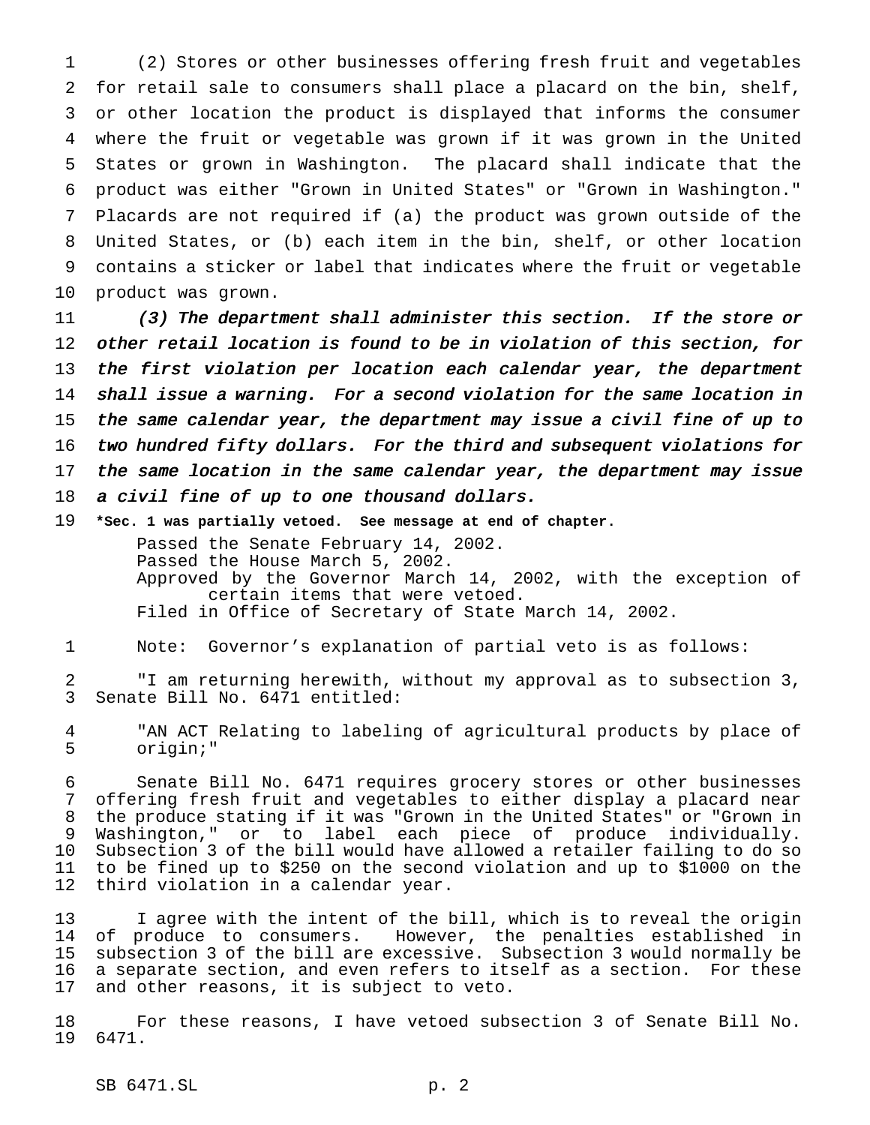(2) Stores or other businesses offering fresh fruit and vegetables for retail sale to consumers shall place a placard on the bin, shelf, or other location the product is displayed that informs the consumer where the fruit or vegetable was grown if it was grown in the United States or grown in Washington. The placard shall indicate that the product was either "Grown in United States" or "Grown in Washington." Placards are not required if (a) the product was grown outside of the United States, or (b) each item in the bin, shelf, or other location contains a sticker or label that indicates where the fruit or vegetable product was grown.

11 (3) The department shall administer this section. If the store or other retail location is found to be in violation of this section, for the first violation per location each calendar year, the department shall issue <sup>a</sup> warning. For <sup>a</sup> second violation for the same location in the same calendar year, the department may issue <sup>a</sup> civil fine of up to two hundred fifty dollars. For the third and subsequent violations for 17 the same location in the same calendar year, the department may issue <sup>a</sup> civil fine of up to one thousand dollars.

**\*Sec. 1 was partially vetoed. See message at end of chapter.**

Passed the Senate February 14, 2002. Passed the House March 5, 2002. Approved by the Governor March 14, 2002, with the exception of certain items that were vetoed. Filed in Office of Secretary of State March 14, 2002.

Note: Governor's explanation of partial veto is as follows:

 "I am returning herewith, without my approval as to subsection 3, Senate Bill No. 6471 entitled:

 "AN ACT Relating to labeling of agricultural products by place of origin;"

 Senate Bill No. 6471 requires grocery stores or other businesses offering fresh fruit and vegetables to either display a placard near the produce stating if it was "Grown in the United States" or "Grown in Washington," or to label each piece of produce individually. Subsection 3 of the bill would have allowed a retailer failing to do so to be fined up to \$250 on the second violation and up to \$1000 on the third violation in a calendar year.

 I agree with the intent of the bill, which is to reveal the origin of produce to consumers. However, the penalties established in subsection 3 of the bill are excessive. Subsection 3 would normally be a separate section, and even refers to itself as a section. For these and other reasons, it is subject to veto.

 For these reasons, I have vetoed subsection 3 of Senate Bill No. 6471.